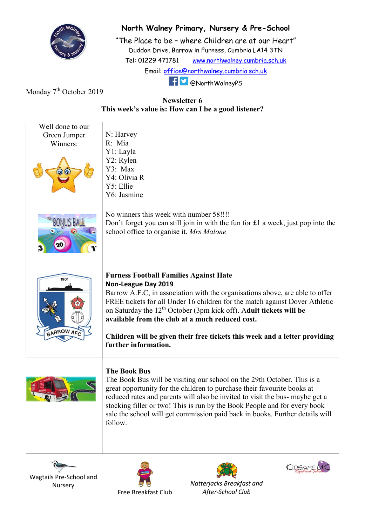

## North Walney Primary, Nursery & Pre-School

"The Place to be – where Children are at our Heart" Duddon Drive, Barrow in Furness, Cumbria LA14 3TN Tel: 01229 471781 www.northwalney.cumbria.sch.uk Email: office@northwalney.cumbria.sch.uk @NorthWalneyPS

Monday 7<sup>th</sup> October 2019

## Newsletter 6 This week's value is: How can I be a good listener?

| Well done to our  |                                                                                  |
|-------------------|----------------------------------------------------------------------------------|
| Green Jumper      | N: Harvey                                                                        |
| Winners:          | R: Mia                                                                           |
|                   | Y1: Layla                                                                        |
|                   | Y2: Rylen                                                                        |
|                   | Y3: Max                                                                          |
|                   | Y4: Olivia R                                                                     |
|                   | Y5: Ellie                                                                        |
|                   | Y6: Jasmine                                                                      |
|                   |                                                                                  |
|                   | No winners this week with number 58!!!!                                          |
|                   | Don't forget you can still join in with the fun for £1 a week, just pop into the |
|                   | school office to organise it. Mrs Malone                                         |
|                   |                                                                                  |
|                   |                                                                                  |
|                   |                                                                                  |
|                   |                                                                                  |
| 1901              | <b>Furness Football Families Against Hate</b>                                    |
|                   | Non-League Day 2019                                                              |
|                   | Barrow A.F.C, in association with the organisations above, are able to offer     |
|                   | FREE tickets for all Under 16 children for the match against Dover Athletic      |
|                   | on Saturday the $12th$ October (3pm kick off). Adult tickets will be             |
|                   | available from the club at a much reduced cost.                                  |
| <b>BARROW AFC</b> |                                                                                  |
|                   | Children will be given their free tickets this week and a letter providing       |
|                   | further information.                                                             |
|                   |                                                                                  |
|                   | <b>The Book Bus</b>                                                              |
|                   | The Book Bus will be visiting our school on the 29th October. This is a          |
|                   | great opportunity for the children to purchase their favourite books at          |
|                   | reduced rates and parents will also be invited to visit the bus- maybe get a     |
|                   | stocking filler or two! This is run by the Book People and for every book        |
|                   | sale the school will get commission paid back in books. Further details will     |
|                   | follow.                                                                          |
|                   |                                                                                  |
|                   |                                                                                  |
|                   |                                                                                  |







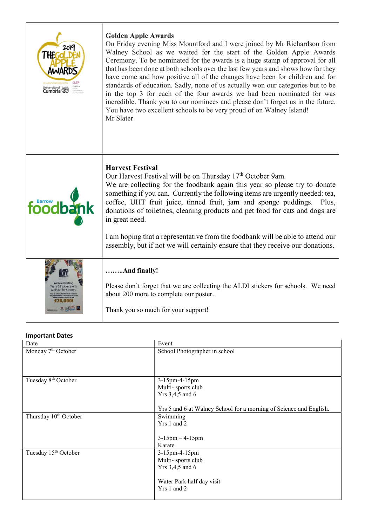| 201c<br>the<br>iniversity of <b>80%</b> | <b>Golden Apple Awards</b><br>On Friday evening Miss Mountford and I were joined by Mr Richardson from<br>Walney School as we waited for the start of the Golden Apple Awards<br>Ceremony. To be nominated for the awards is a huge stamp of approval for all<br>that has been done at both schools over the last few years and shows how far they<br>have come and how positive all of the changes have been for children and for<br>standards of education. Sadly, none of us actually won our categories but to be<br>in the top 3 for each of the four awards we had been nominated for was<br>incredible. Thank you to our nominees and please don't forget us in the future.<br>You have two excellent schools to be very proud of on Walney Island!<br>Mr Slater |
|-----------------------------------------|-------------------------------------------------------------------------------------------------------------------------------------------------------------------------------------------------------------------------------------------------------------------------------------------------------------------------------------------------------------------------------------------------------------------------------------------------------------------------------------------------------------------------------------------------------------------------------------------------------------------------------------------------------------------------------------------------------------------------------------------------------------------------|
| foodb                                   | <b>Harvest Festival</b><br>Our Harvest Festival will be on Thursday 17 <sup>th</sup> October 9am.<br>We are collecting for the foodbank again this year so please try to donate<br>something if you can. Currently the following items are urgently needed: tea,<br>coffee, UHT fruit juice, tinned fruit, jam and sponge puddings. Plus,<br>donations of toiletries, cleaning products and pet food for cats and dogs are<br>in great need.<br>I am hoping that a representative from the foodbank will be able to attend our<br>assembly, but if not we will certainly ensure that they receive our donations.                                                                                                                                                        |
| stickers with                           | And finally!<br>Please don't forget that we are collecting the ALDI stickers for schools. We need<br>about 200 more to complete our poster.<br>Thank you so much for your support!                                                                                                                                                                                                                                                                                                                                                                                                                                                                                                                                                                                      |

## Important Dates

| Date                              | Event                                                              |
|-----------------------------------|--------------------------------------------------------------------|
| Monday 7 <sup>th</sup> October    | School Photographer in school                                      |
|                                   |                                                                    |
|                                   |                                                                    |
|                                   |                                                                    |
| Tuesday 8 <sup>th</sup> October   | 3-15pm-4-15pm                                                      |
|                                   | Multi-sports club                                                  |
|                                   | Yrs 3,4,5 and 6                                                    |
|                                   |                                                                    |
|                                   | Yrs 5 and 6 at Walney School for a morning of Science and English. |
| Thursday 10 <sup>th</sup> October | Swimming                                                           |
|                                   | Yrs 1 and 2                                                        |
|                                   |                                                                    |
|                                   | $3-15$ pm $-4-15$ pm                                               |
|                                   | Karate                                                             |
| Tuesday 15 <sup>th</sup> October  | 3-15pm-4-15pm                                                      |
|                                   | Multi-sports club                                                  |
|                                   | Yrs 3,4,5 and 6                                                    |
|                                   |                                                                    |
|                                   | Water Park half day visit                                          |
|                                   | Yrs 1 and 2                                                        |
|                                   |                                                                    |